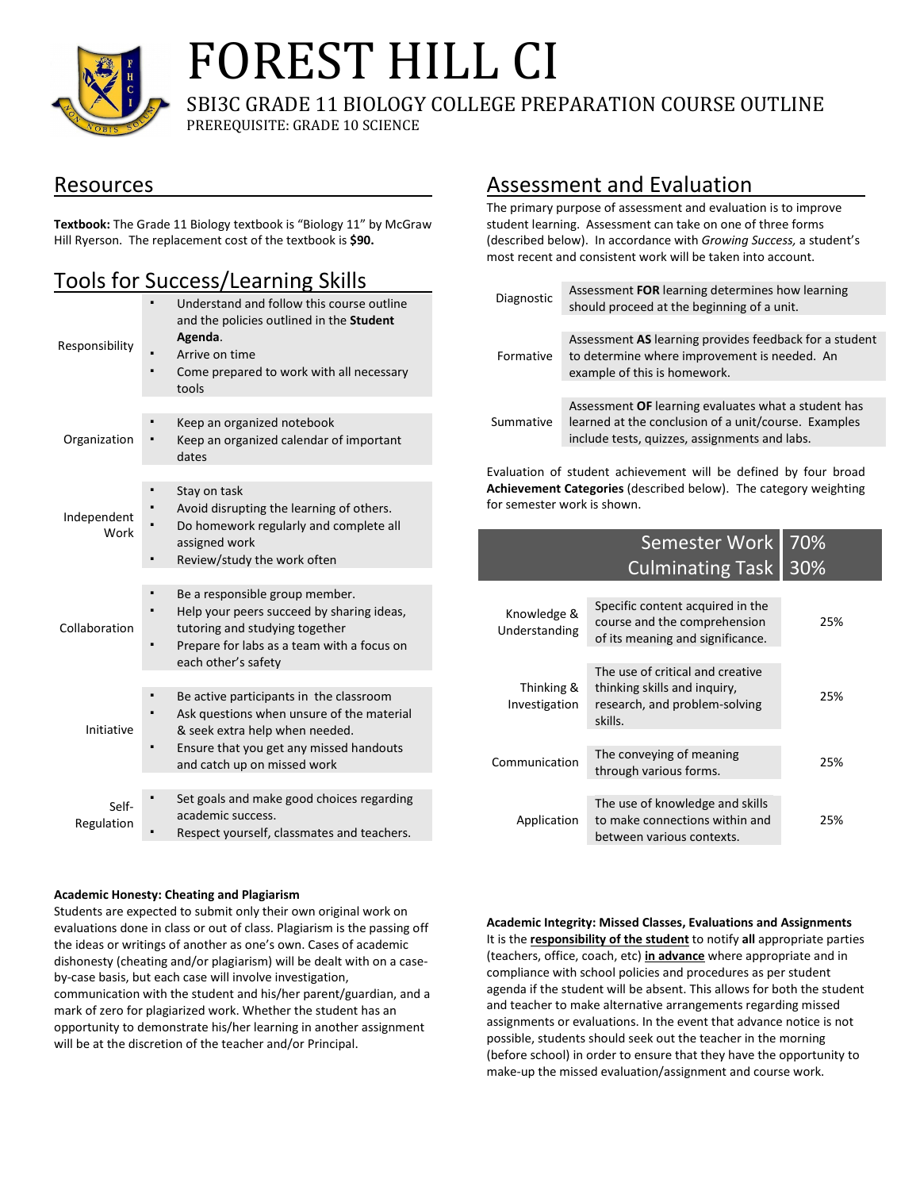

# FOREST HILL CI

SBI3C GRADE 11 BIOLOGY COLLEGE PREPARATION COURSE OUTLINE PREREQUISITE: GRADE 10 SCIENCE

### Resources

**Textbook:** The Grade 11 Biology textbook is "Biology 11" by McGraw Hill Ryerson. The replacement cost of the textbook is **\$90.**

# Tools for Success/Learning Skills

| Responsibility      | Understand and follow this course outline<br>and the policies outlined in the <b>Student</b><br>Agenda.<br>Arrive on time<br>Come prepared to work with all necessary<br>tools                   |
|---------------------|--------------------------------------------------------------------------------------------------------------------------------------------------------------------------------------------------|
| Organization        | Keep an organized notebook<br>Keep an organized calendar of important<br>dates                                                                                                                   |
| Independent<br>Work | Stay on task<br>Avoid disrupting the learning of others.<br>Do homework regularly and complete all<br>assigned work<br>Review/study the work often                                               |
| Collaboration       | Be a responsible group member.<br>Help your peers succeed by sharing ideas,<br>tutoring and studying together<br>Prepare for labs as a team with a focus on<br>each other's safety               |
| Initiative          | Be active participants in the classroom<br>Ask questions when unsure of the material<br>& seek extra help when needed.<br>Ensure that you get any missed handouts<br>and catch up on missed work |
| Self-<br>Regulation | Set goals and make good choices regarding<br>academic success.<br>Respect yourself, classmates and teachers.                                                                                     |

#### **Academic Honesty: Cheating and Plagiarism**

Students are expected to submit only their own original work on evaluations done in class or out of class. Plagiarism is the passing off the ideas or writings of another as one's own. Cases of academic dishonesty (cheating and/or plagiarism) will be dealt with on a caseby-case basis, but each case will involve investigation, communication with the student and his/her parent/guardian, and a mark of zero for plagiarized work. Whether the student has an opportunity to demonstrate his/her learning in another assignment will be at the discretion of the teacher and/or Principal.

## Assessment and Evaluation

The primary purpose of assessment and evaluation is to improve student learning. Assessment can take on one of three forms (described below). In accordance with *Growing Success,* a student's most recent and consistent work will be taken into account.

| Diagnostic | Assessment FOR learning determines how learning<br>should proceed at the beginning of a unit.                                                                |  |  |  |
|------------|--------------------------------------------------------------------------------------------------------------------------------------------------------------|--|--|--|
|            |                                                                                                                                                              |  |  |  |
| Formative  | Assessment AS learning provides feedback for a student<br>to determine where improvement is needed. An<br>example of this is homework.                       |  |  |  |
|            |                                                                                                                                                              |  |  |  |
| Summative  | Assessment OF learning evaluates what a student has<br>learned at the conclusion of a unit/course. Examples<br>include tests, quizzes, assignments and labs. |  |  |  |
|            |                                                                                                                                                              |  |  |  |

Evaluation of student achievement will be defined by four broad **Achievement Categories** (described below). The category weighting for semester work is shown.

|                              | Semester Work<br><b>Culminating Task</b>                                                                     | 70%<br>30% |
|------------------------------|--------------------------------------------------------------------------------------------------------------|------------|
| Knowledge &<br>Understanding | Specific content acquired in the<br>course and the comprehension<br>of its meaning and significance.         | 25%        |
| Thinking &<br>Investigation  | The use of critical and creative<br>thinking skills and inquiry,<br>research, and problem-solving<br>skills. | 25%        |
| Communication                | The conveying of meaning<br>through various forms.                                                           | 25%        |
| Application                  | The use of knowledge and skills<br>to make connections within and<br>between various contexts.               | 25%        |

#### **Academic Integrity: Missed Classes, Evaluations and Assignments**

It is the **responsibility of the student** to notify **all** appropriate parties (teachers, office, coach, etc) **in advance** where appropriate and in compliance with school policies and procedures as per student agenda if the student will be absent. This allows for both the student and teacher to make alternative arrangements regarding missed assignments or evaluations. In the event that advance notice is not possible, students should seek out the teacher in the morning (before school) in order to ensure that they have the opportunity to make-up the missed evaluation/assignment and course work.